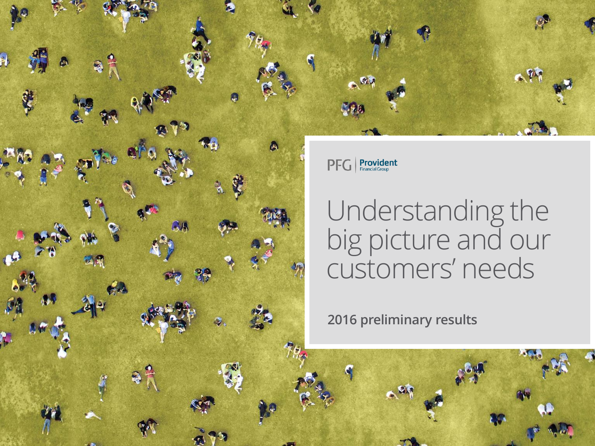

 $\overline{\mathsf{PFG}}$  **Provident** 

# Understanding the big picture and our customers' needs

2016 preliminary results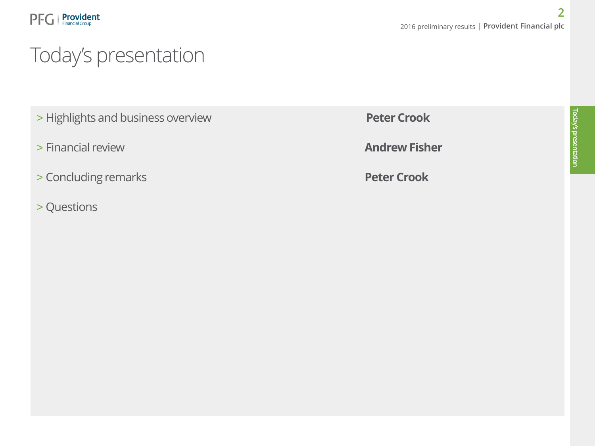# Today's presentation

- > Highlights and business overview **Peter Crook**
- > Financial review **Andrew Fisher**
- > Concluding remarks **Peter Crook**
- > Questions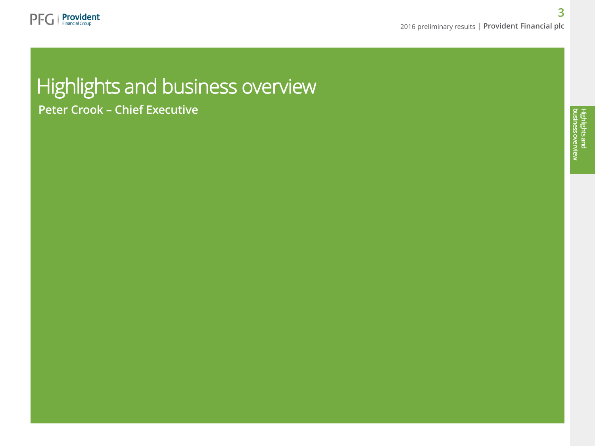

# Highlights and business overview Peter Crook – Chief Executive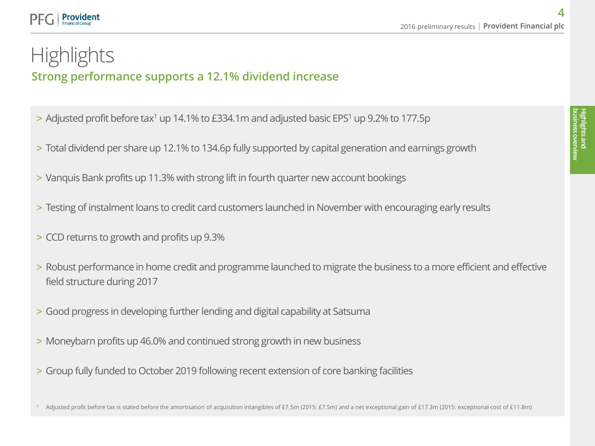### Provident

### Strong performance supports a 12.1% dividend increase **Highlights**

- $>$  Adjusted profit before tax<sup>1</sup> up 14.1% to £334.1m and adjusted basic EPS<sup>1</sup> up 9.2% to 177.5p
- > Total dividend per share up 12.1% to 134.6p fully supported by capital generation and earnings growth
- > Vanquis Bank profits up 11.3% with strong lift in fourth quarter new account bookings
- > Testing of instalment loans to credit card customers launched in November with encouraging early results
- > CCD returns to growth and profits up 9.3%
- > Robust performance in home credit and programme launched to migrate the business to a more efficient and effective field structure during 2017
- > Good progress in developing further lending and digital capability at Satsuma
- > Moneybarn profits up 46.0% and continued strong growth in new business
- > Group fully funded to October 2019 following recent extension of core banking facilities

Adjusted profit before tax is stated before the amortisation of acquisition intangibles of £7.5m (2015: £7.5m) and a net exceptional gain of £17.3m (2015: exceptional cost of £11.8m)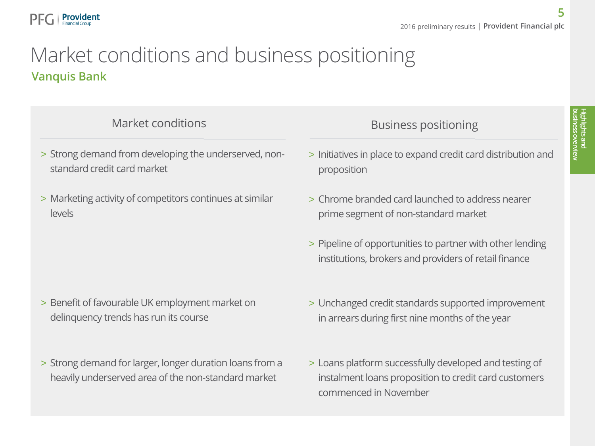### Vanquis Bank Market conditions and business positioning

Provident

- > Strong demand from developing the underserved, nonstandard credit card market
- > Marketing activity of competitors continues at similar levels

- > Benefit of favourable UK employment market on delinquency trends has run its course
- > Strong demand for larger, longer duration loans from a heavily underserved area of the non-standard market

### Market conditions and the state of the Business positioning

- > Initiatives in place to expand credit card distribution and proposition
- > Chrome branded card launched to address nearer prime segment of non-standard market
- > Pipeline of opportunities to partner with other lending institutions, brokers and providers of retail finance
- > Unchanged credit standards supported improvement in arrears during first nine months of the year
- > Loans platform successfully developed and testing of instalment loans proposition to credit card customers commenced in November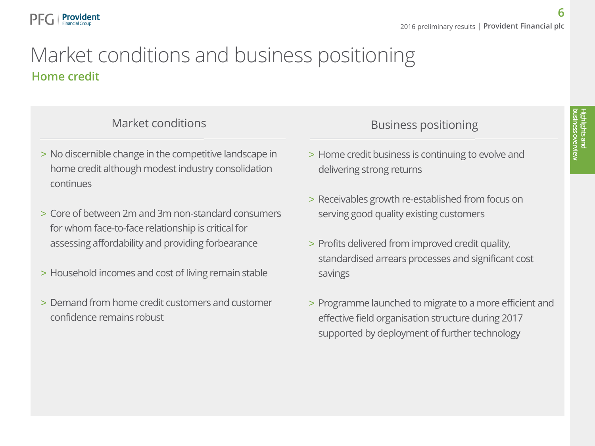### Home credit Market conditions and business positioning

### Market conditions and the conditions of the Business positioning

Provident

- > No discernible change in the competitive landscape in home credit although modest industry consolidation continues
- > Core of between 2m and 3m non-standard consumers for whom face-to-face relationship is critical for assessing affordability and providing forbearance
- > Household incomes and cost of living remain stable
- > Demand from home credit customers and customer confidence remains robust

- > Home credit business is continuing to evolve and delivering strong returns
- > Receivables growth re-established from focus on serving good quality existing customers
- > Profits delivered from improved credit quality, standardised arrears processes and significant cost savings
- > Programme launched to migrate to a more efficient and effective field organisation structure during 2017 supported by deployment of further technology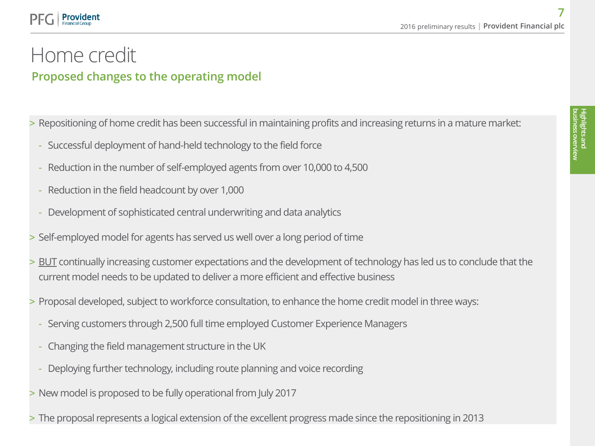### **Provident**

### Proposed changes to the operating model Home credit

- > Repositioning of home credit has been successful in maintaining profits and increasing returns in a mature market:
	- Successful deployment of hand-held technology to the field force
	- Reduction in the number of self-employed agents from over 10,000 to 4,500
	- Reduction in the field headcount by over 1,000
	- Development of sophisticated central underwriting and data analytics
- > Self-employed model for agents has served us well over a long period of time
- > BUT continually increasing customer expectations and the development of technology has led us to conclude that the current model needs to be updated to deliver a more efficient and effective business
- > Proposal developed, subject to workforce consultation, to enhance the home credit model in three ways:
	- Serving customers through 2,500 full time employed Customer Experience Managers
	- Changing the field management structure in the UK
	- Deploying further technology, including route planning and voice recording
- > New model is proposed to be fully operational from July 2017
- > The proposal represents a logical extension of the excellent progress made since the repositioning in 2013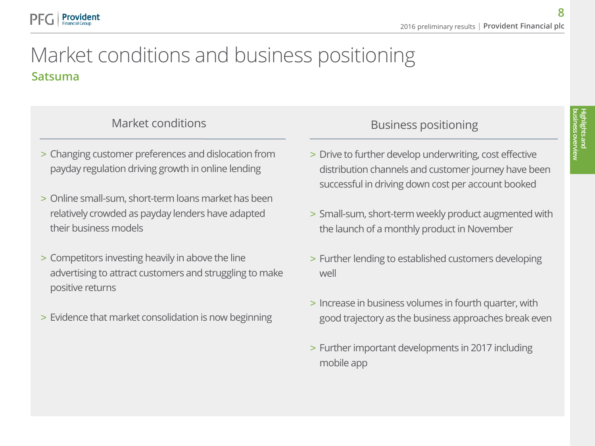### Satsuma Market conditions and business positioning

Provident

- > Changing customer preferences and dislocation from payday regulation driving growth in online lending
- > Online small-sum, short-term loans market has been relatively crowded as payday lenders have adapted their business models
- > Competitors investing heavily in above the line advertising to attract customers and struggling to make positive returns
- > Evidence that market consolidation is now beginning

### Market conditions and the state of the Business positioning

- > Drive to further develop underwriting, cost effective distribution channels and customer journey have been successful in driving down cost per account booked
- > Small-sum, short-term weekly product augmented with the launch of a monthly product in November
- > Further lending to established customers developing well
- > Increase in business volumes in fourth quarter, with good trajectory as the business approaches break even
- > Further important developments in 2017 including mobile app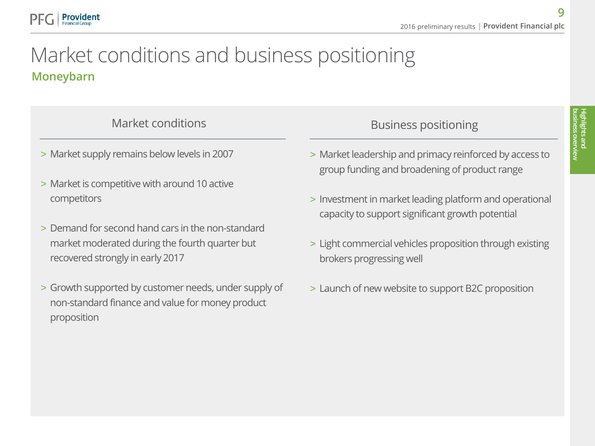### Moneybarn Market conditions and business positioning

> Market supply remains below levels in 2007

Provident Financial Group

- > Market is competitive with around 10 active competitors
- > Demand for second hand cars in the non-standard market moderated during the fourth quarter but recovered strongly in early 2017
- > Growth supported by customer needs, under supply of non-standard finance and value for money product proposition

### Market conditions and the set of the Business positioning

- > Market leadership and primacy reinforced by access to group funding and broadening of product range
- > Investment in market leading platform and operational capacity to support significant growth potential
- > Light commercial vehicles proposition through existing brokers progressing well
- > Launch of new website to support B2C proposition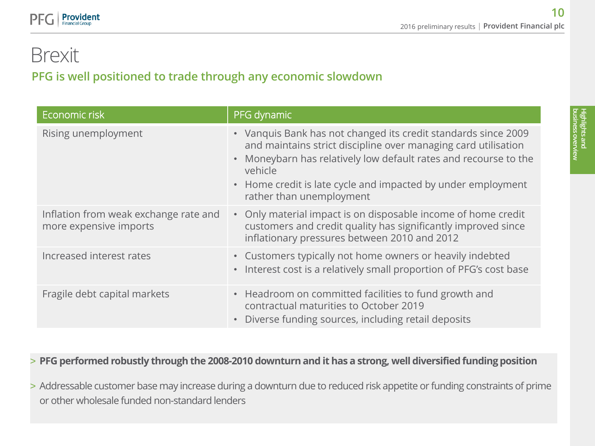### PFG is well positioned to trade through any economic slowdown Brexit

**Provident** 

| Economic risk                                                   | PFG dynamic                                                                                                                                                                                                                                                                                                 |
|-----------------------------------------------------------------|-------------------------------------------------------------------------------------------------------------------------------------------------------------------------------------------------------------------------------------------------------------------------------------------------------------|
| Rising unemployment                                             | • Vanquis Bank has not changed its credit standards since 2009<br>and maintains strict discipline over managing card utilisation<br>• Moneybarn has relatively low default rates and recourse to the<br>vehicle<br>• Home credit is late cycle and impacted by under employment<br>rather than unemployment |
| Inflation from weak exchange rate and<br>more expensive imports | • Only material impact is on disposable income of home credit<br>customers and credit quality has significantly improved since<br>inflationary pressures between 2010 and 2012                                                                                                                              |
| Increased interest rates                                        | • Customers typically not home owners or heavily indebted<br>• Interest cost is a relatively small proportion of PFG's cost base                                                                                                                                                                            |
| Fragile debt capital markets                                    | • Headroom on committed facilities to fund growth and<br>contractual maturities to October 2019<br>• Diverse funding sources, including retail deposits                                                                                                                                                     |

### > **PFG performed robustly through the 2008-2010 downturn and it has a strong, well diversified funding position**

> Addressable customer base may increase during a downturn due to reduced risk appetite or funding constraints of prime or other wholesale funded non-standard lenders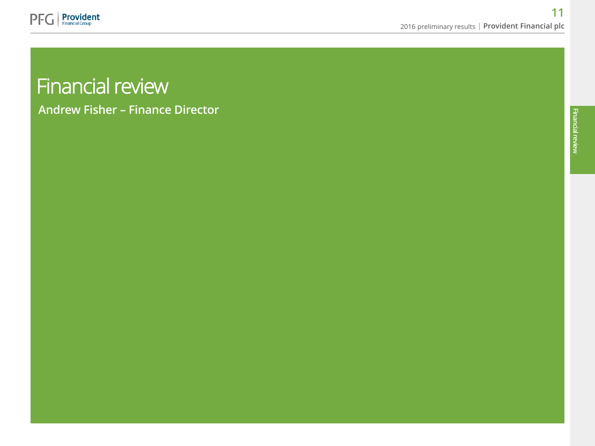

# Financial review

Andrew Fisher – Finance Director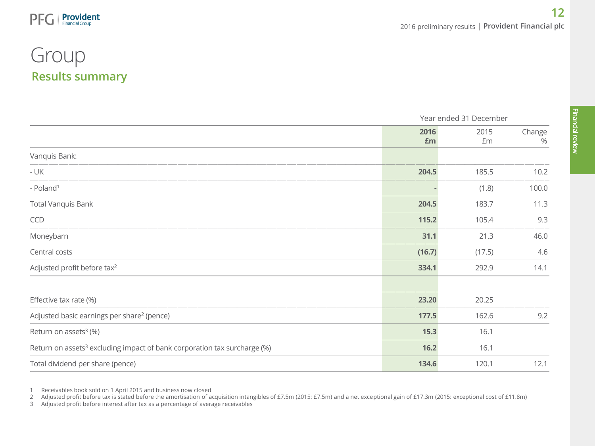### Results summary Group

**Provident** 

|                                                                                      |            | Year ended 31 December |             |  |
|--------------------------------------------------------------------------------------|------------|------------------------|-------------|--|
|                                                                                      | 2016<br>£m | 2015<br>£m             | Change<br>% |  |
| Vanquis Bank:                                                                        |            |                        |             |  |
| - UK                                                                                 | 204.5      | 185.5                  | 10.2        |  |
| - Poland <sup>1</sup>                                                                |            | (1.8)                  | 100.0       |  |
| <b>Total Vanquis Bank</b>                                                            | 204.5      | 183.7                  | 11.3        |  |
| CCD                                                                                  | 115.2      | 105.4                  | 9.3         |  |
| Moneybarn                                                                            | 31.1       | 21.3                   | 46.0        |  |
| Central costs                                                                        | (16.7)     | (17.5)                 | 4.6         |  |
| Adjusted profit before tax <sup>2</sup>                                              | 334.1      | 292.9                  | 14.1        |  |
|                                                                                      |            |                        |             |  |
| Effective tax rate (%)                                                               | 23.20      | 20.25                  |             |  |
| Adjusted basic earnings per share <sup>2</sup> (pence)                               | 177.5      | 162.6                  | 9.2         |  |
| Return on assets $3$ (%)                                                             | 15.3       | 16.1                   |             |  |
| Return on assets <sup>3</sup> excluding impact of bank corporation tax surcharge (%) | 16.2       | 16.1                   |             |  |
| Total dividend per share (pence)                                                     | 134.6      | 120.1                  | 12.1        |  |

1 Receivables book sold on 1 April 2015 and business now closed

2 Adjusted profit before tax is stated before the amortisation of acquisition intangibles of £7.5m (2015: £7.5m) and a net exceptional gain of £17.3m (2015: exceptional cost of £11.8m)

3 Adjusted profit before interest after tax as a percentage of average receivables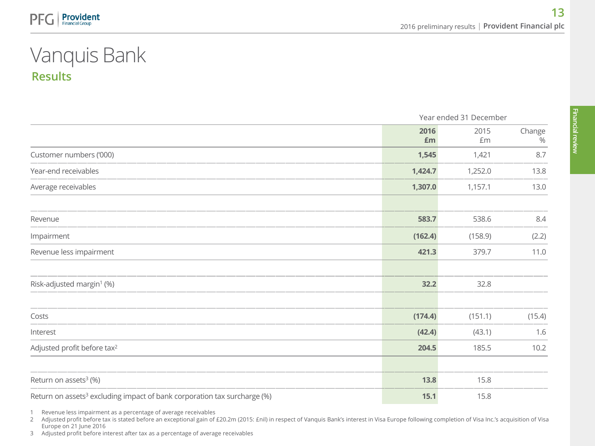## Results Vanquis Bank

|                                                                                      |            | Year ended 31 December |                |  |
|--------------------------------------------------------------------------------------|------------|------------------------|----------------|--|
|                                                                                      | 2016<br>Em | 2015<br>Em             | Change<br>$\%$ |  |
| Customer numbers ('000)                                                              | 1,545      | 1,421                  | 8.7            |  |
| Year-end receivables                                                                 | 1,424.7    | 1,252.0                | 13.8           |  |
| Average receivables                                                                  | 1,307.0    | 1,157.1                | 13.0           |  |
| Revenue                                                                              | 583.7      | 538.6                  | $8.4\,$        |  |
| Impairment                                                                           | (162.4)    | (158.9)                | (2.2)          |  |
| Revenue less impairment                                                              | 421.3      | 379.7                  | 11.0           |  |
| Risk-adjusted margin <sup>1</sup> (%)                                                | 32.2       | 32.8                   |                |  |
| Costs                                                                                | (174.4)    | (151.1)                | (15.4)         |  |
| Interest                                                                             | (42.4)     | (43.1)                 | 1.6            |  |
| Adjusted profit before tax <sup>2</sup>                                              | 204.5      | 185.5                  | 10.2           |  |
| Return on assets <sup>3</sup> (%)                                                    | 13.8       | 15.8                   |                |  |
| Return on assets <sup>3</sup> excluding impact of bank corporation tax surcharge (%) | 15.1       | 15.8                   |                |  |

1 Revenue less impairment as a percentage of average receivables

2 Adjusted profit before tax is stated before an exceptional gain of £20.2m (2015: £nil) in respect of Vanquis Bank's interest in Visa Europe following completion of Visa Inc.'s acquisition of Visa Europe on 21 June 2016

3 Adjusted profit before interest after tax as a percentage of average receivables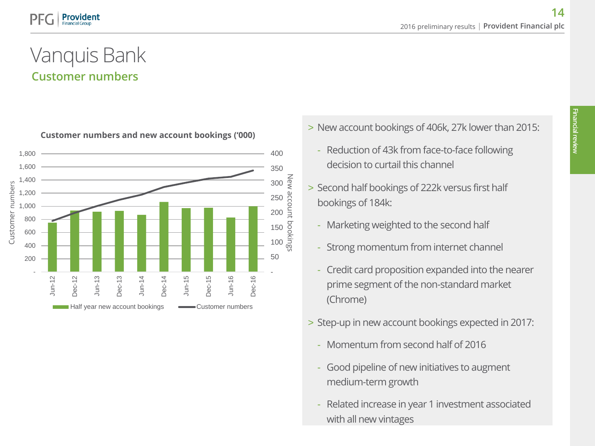### Customer numbers Vanquis Bank



- > New account bookings of 406k, 27k lower than 2015: **Customer numbers and new account bookings ('000)**
	- Reduction of 43k from face-to-face following decision to curtail this channel
	- > Second half bookings of 222k versus first half bookings of 184k:
		- Marketing weighted to the second half
		- Strong momentum from internet channel
		- Credit card proposition expanded into the nearer prime segment of the non-standard market (Chrome)
	- > Step-up in new account bookings expected in 2017:
		- Momentum from second half of 2016
		- Good pipeline of new initiatives to augment medium-term growth
		- Related increase in year 1 investment associated with all new vintages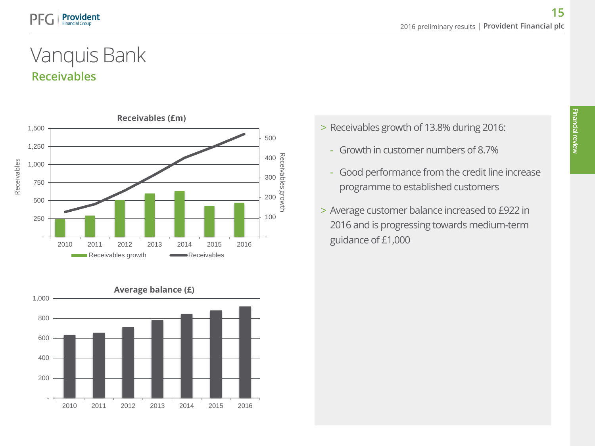## Receivables Vanquis Bank





- > Receivables growth of 13.8% during 2016:
	- Growth in customer numbers of 8.7%
	- Good performance from the credit line increase programme to established customers
- > Average customer balance increased to £922 in 2016 and is progressing towards medium-term guidance of £1,000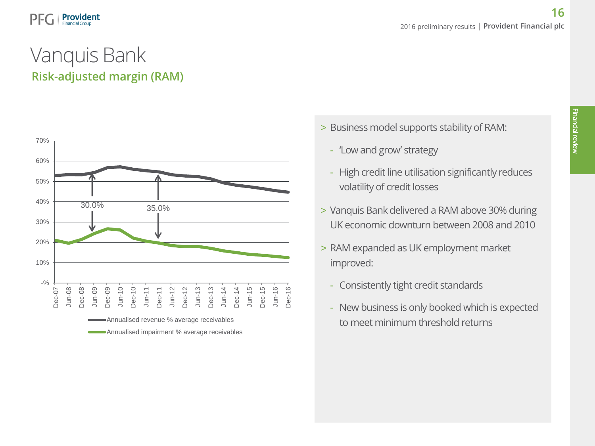# Risk-adjusted margin (RAM) Vanquis Bank



- > Business model supports stability of RAM:
	- 'Low and grow' strategy
	- High credit line utilisation significantly reduces volatility of credit losses
- > Vanquis Bank delivered a RAM above 30% during UK economic downturn between 2008 and 2010
- > RAM expanded as UK employment market improved:
	- Consistently tight credit standards
	- New business is only booked which is expected to meet minimum threshold returns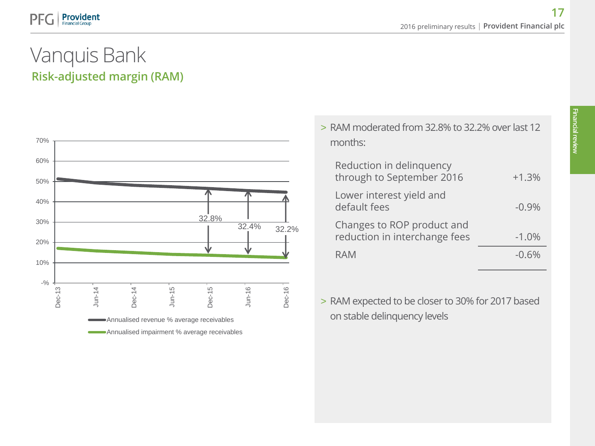# Risk-adjusted margin (RAM) Vanquis Bank



| > RAM moderated from 32.8% to 32.2% over last 12<br>months: |          |
|-------------------------------------------------------------|----------|
| Reduction in delinquency<br>through to September 2016       | $+1.3%$  |
| Lower interest yield and<br>default fees                    | $-0.9\%$ |
| Changes to ROP product and<br>reduction in interchange fees | $-1.0%$  |
| RAM                                                         | -06%     |
|                                                             |          |

> RAM expected to be closer to 30% for 2017 based on stable delinquency levels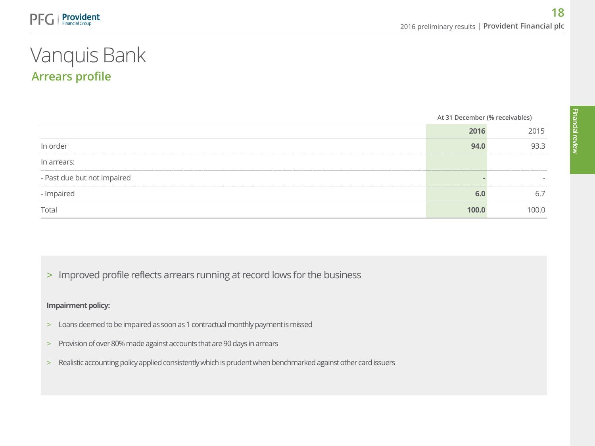## Arrears profile Vanquis Bank

|                             | At 31 December (% receivables) |      |
|-----------------------------|--------------------------------|------|
|                             | 2016                           | 2015 |
| In order                    | 94.0                           | 93.3 |
| In arrears:                 |                                |      |
| - Past due but not impaired |                                |      |
| - Impaired                  |                                | 6.7  |
| Total                       | 100.0                          | 00.0 |

> Improved profile reflects arrears running at record lows for the business

### **Impairment policy:**

- > Loans deemed to be impaired as soon as 1 contractual monthly payment is missed
- > Provision of over 80% made against accounts that are 90 days in arrears
- > Realistic accounting policy applied consistently which is prudent when benchmarked against other card issuers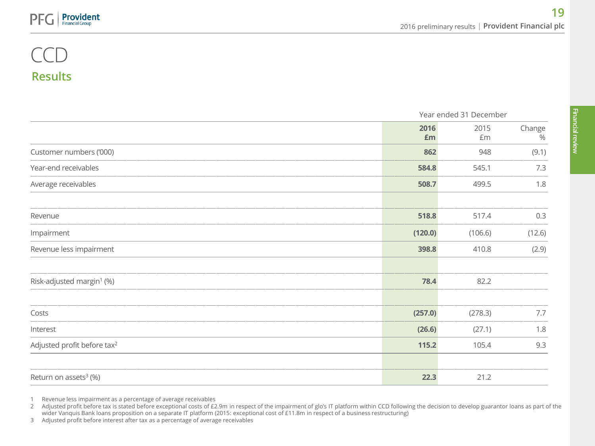### Results CCD

|                                         | Year ended 31 December |            |                |
|-----------------------------------------|------------------------|------------|----------------|
|                                         | 2016<br>£m             | 2015<br>£m | Change<br>$\%$ |
| Customer numbers ('000)                 | 862                    | 948        | (9.1)          |
| Year-end receivables                    | 584.8                  | 545.1      | 7.3            |
| Average receivables                     | 508.7                  | 499.5      | 1.8            |
| Revenue                                 | 518.8                  | 517.4      | 0.3            |
| Impairment                              | (120.0)                | (106.6)    | (12.6)         |
| Revenue less impairment                 | 398.8                  | 410.8      | (2.9)          |
| Risk-adjusted margin <sup>1</sup> (%)   | 78.4                   | 82.2       |                |
| Costs                                   | (257.0)                | (278.3)    | 7.7            |
| Interest                                | (26.6)                 | (27.1)     | 1.8            |
| Adjusted profit before tax <sup>2</sup> | 115.2                  | 105.4      | 9.3            |
| Return on assets <sup>3</sup> (%)       | 22.3                   | 21.2       |                |

1 Revenue less impairment as a percentage of average receivables

3 Adjusted profit before interest after tax as a percentage of average receivables

<sup>2</sup> Adjusted profit before tax is stated before exceptional costs of £2.9m in respect of the impairment of glo's IT platform within CCD following the decision to develop guarantor loans as part of the wider Vanquis Bank loans proposition on a separate IT platform (2015: exceptional cost of £11.8m in respect of a business restructuring)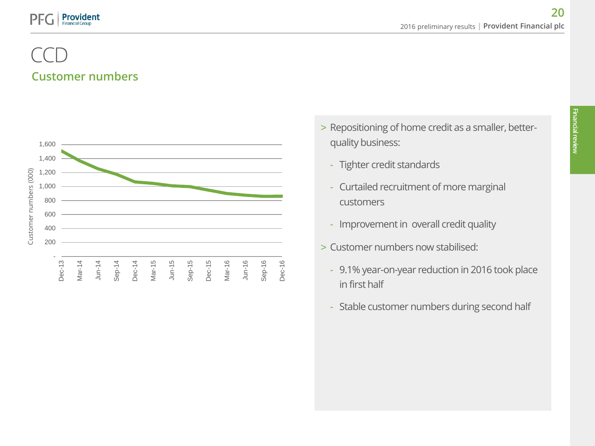### Customer numbers CCD



- > Repositioning of home credit as a smaller, betterquality business:
	- Tighter credit standards
	- Curtailed recruitment of more marginal customers
	- Improvement in overall credit quality
- > Customer numbers now stabilised:
	- 9.1% year-on-year reduction in 2016 took place in first half
	- Stable customer numbers during second half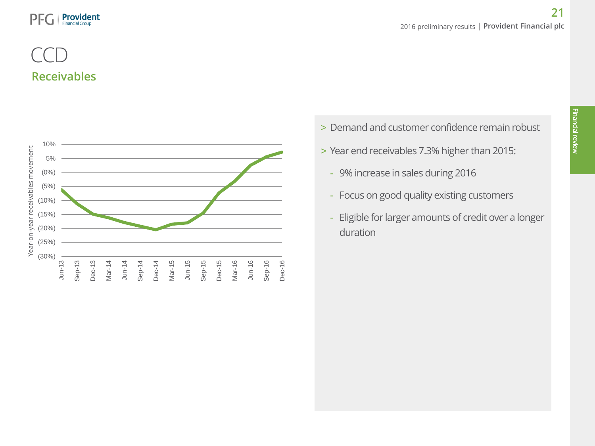### **Provident** PF

### Receivables CCD



- > Demand and customer confidence remain robust
- > Year end receivables 7.3% higher than 2015:
	- 9% increase in sales during 2016
	- Focus on good quality existing customers
	- Eligible for larger amounts of credit over a longer duration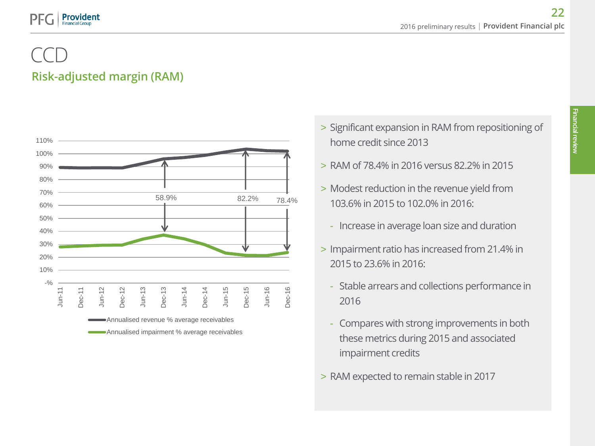### Risk-adjusted margin (RAM) CCD



- > Significant expansion in RAM from repositioning of home credit since 2013
- > RAM of 78.4% in 2016 versus 82.2% in 2015
- > Modest reduction in the revenue yield from 103.6% in 2015 to 102.0% in 2016:
	- Increase in average loan size and duration
- > Impairment ratio has increased from 21.4% in 2015 to 23.6% in 2016:
	- Stable arrears and collections performance in 2016
	- Compares with strong improvements in both these metrics during 2015 and associated impairment credits
- > RAM expected to remain stable in 2017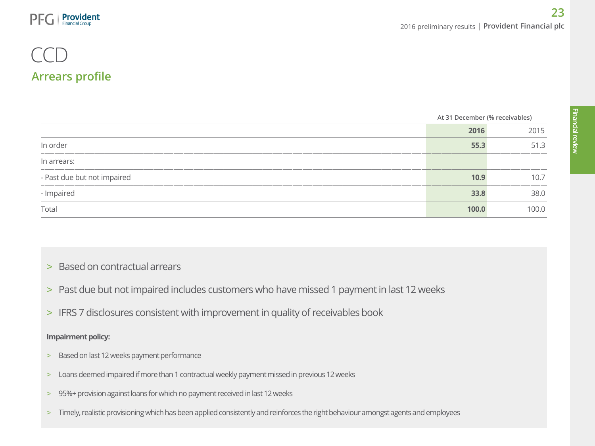### Arrears profile CCD

|                             | At 31 December (% receivables) |       |
|-----------------------------|--------------------------------|-------|
|                             | 2016                           | 2015  |
| In order                    | 55.3                           | 51.3  |
| In arrears:                 |                                |       |
| - Past due but not impaired | 10.9                           | 10.7  |
| - Impaired                  | 33.8                           | 38.0  |
| Total                       | 100.0                          | 100.0 |

- > Based on contractual arrears
- > Past due but not impaired includes customers who have missed 1 payment in last 12 weeks
- > IFRS 7 disclosures consistent with improvement in quality of receivables book

### **Impairment policy:**

- > Based on last 12 weeks payment performance
- > Loans deemed impaired if more than 1 contractual weekly payment missed in previous 12 weeks
- > 95%+ provision against loans for which no payment received in last 12 weeks
- > Timely, realistic provisioning which has been applied consistently and reinforces the right behaviour amongst agents and employees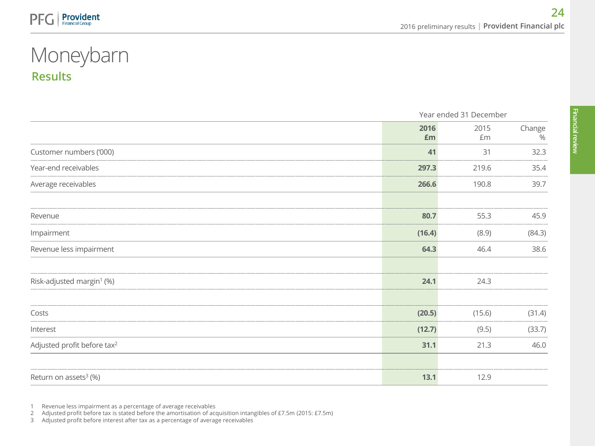# Results Moneybarn

|                                         | Year ended 31 December |            |                |
|-----------------------------------------|------------------------|------------|----------------|
|                                         | 2016<br>£m             | 2015<br>Em | Change<br>$\%$ |
| Customer numbers ('000)                 | 41                     | 31         | 32.3           |
| Year-end receivables                    | 297.3                  | 219.6      | 35.4           |
| Average receivables                     | 266.6                  | 190.8      | 39.7           |
| Revenue                                 | 80.7                   | 55.3       | 45.9           |
| Impairment                              | (16.4)                 | (8.9)      | (84.3)         |
| Revenue less impairment                 | 64.3                   | 46.4       | 38.6           |
| Risk-adjusted margin <sup>1</sup> (%)   | 24.1                   | 24.3       |                |
| Costs                                   | (20.5)                 | (15.6)     | (31.4)         |
| Interest                                | (12.7)                 | (9.5)      | (33.7)         |
| Adjusted profit before tax <sup>2</sup> | 31.1                   | 21.3       | 46.0           |
| Return on assets <sup>3</sup> (%)       | 13.1                   | 12.9       |                |

1 Revenue less impairment as a percentage of average receivables

2 Adjusted profit before tax is stated before the amortisation of acquisition intangibles of £7.5m (2015: £7.5m)

3 Adjusted profit before interest after tax as a percentage of average receivables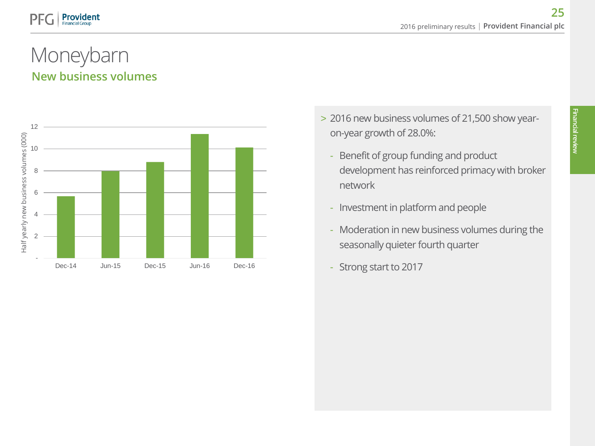### New business volumes Moneybarn



- > 2016 new business volumes of 21,500 show yearon-year growth of 28.0%:
	- Benefit of group funding and product development has reinforced primacy with broker network
	- Investment in platform and people
	- Moderation in new business volumes during the seasonally quieter fourth quarter
	- Strong start to 2017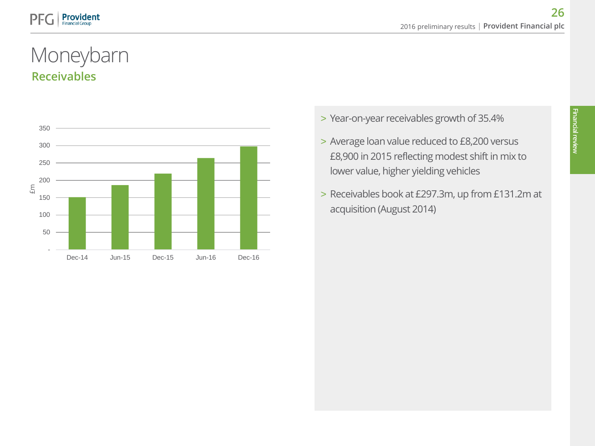### Receivables Moneybarn



- > Year-on-year receivables growth of 35.4%
- > Average loan value reduced to £8,200 versus £8,900 in 2015 reflecting modest shift in mix to lower value, higher yielding vehicles
- > Receivables book at £297.3m, up from £131.2m at acquisition (August 2014)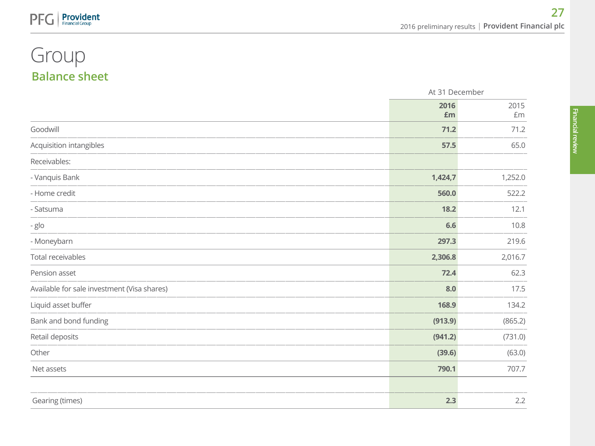# Balance sheet Group

PFG

**Provident** 

|                                             | At 31 December |            |
|---------------------------------------------|----------------|------------|
|                                             | 2016<br>£m     | 2015<br>£m |
| Goodwill                                    | 71.2           | 71.2       |
| Acquisition intangibles                     | 57.5           | 65.0       |
| Receivables:                                |                |            |
| - Vanquis Bank                              | 1,424,7        | 1,252.0    |
| - Home credit                               | 560.0          | 522.2      |
| - Satsuma                                   | 18.2           | 12.1       |
| - glo                                       | 6.6            | 10.8       |
| - Moneybarn                                 | 297.3          | 219.6      |
| Total receivables                           | 2,306.8        | 2,016.7    |
| Pension asset                               | 72.4           | 62.3       |
| Available for sale investment (Visa shares) | 8.0            | 17.5       |
| Liquid asset buffer                         | 168.9          | 134.2      |
| Bank and bond funding                       | (913.9)        | (865.2)    |
| Retail deposits                             | (941.2)        | (731.0)    |
| Other                                       | (39.6)         | (63.0)     |
| Net assets                                  | 790.1          | 707.7      |
|                                             |                |            |
| Gearing (times)                             | 2.3            | 2.2        |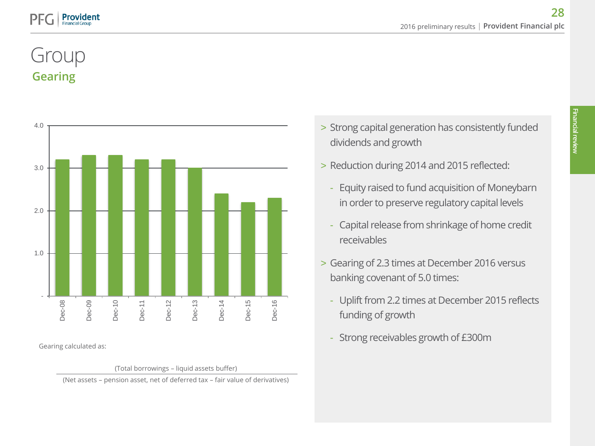# Gearing Group



Gearing calculated as:

(Total borrowings – liquid assets buffer) (Net assets – pension asset, net of deferred tax – fair value of derivatives)

- > Strong capital generation has consistently funded dividends and growth
- > Reduction during 2014 and 2015 reflected:
	- Equity raised to fund acquisition of Moneybarn in order to preserve regulatory capital levels
	- Capital release from shrinkage of home credit receivables
- > Gearing of 2.3 times at December 2016 versus banking covenant of 5.0 times:
	- Uplift from 2.2 times at December 2015 reflects funding of growth
	- Strong receivables growth of £300m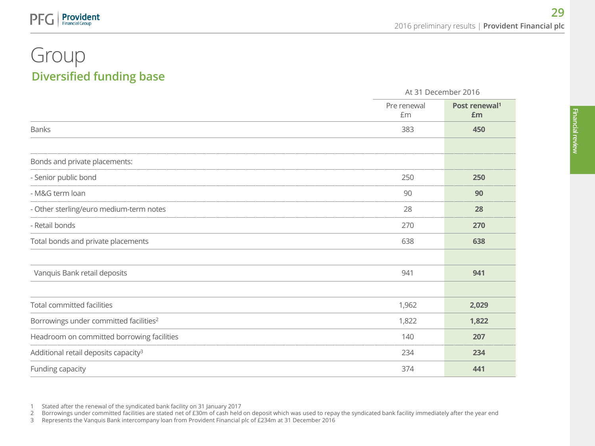### Diversified funding base Group

**Provident** 

|                                                    |                   | At 31 December 2016             |  |
|----------------------------------------------------|-------------------|---------------------------------|--|
|                                                    | Pre renewal<br>£m | Post renewal <sup>1</sup><br>£m |  |
| <b>Banks</b>                                       | 383               | 450                             |  |
| Bonds and private placements:                      |                   |                                 |  |
| - Senior public bond                               | 250               | 250                             |  |
| - M&G term loan                                    | 90                | 90                              |  |
| - Other sterling/euro medium-term notes            | 28                | 28                              |  |
| - Retail bonds                                     | 270               | 270                             |  |
| Total bonds and private placements                 | 638               | 638                             |  |
| Vanquis Bank retail deposits                       | 941               | 941                             |  |
| <b>Total committed facilities</b>                  | 1,962             | 2,029                           |  |
| Borrowings under committed facilities <sup>2</sup> | 1,822             | 1,822                           |  |
| Headroom on committed borrowing facilities         | 140               | 207                             |  |
| Additional retail deposits capacity <sup>3</sup>   | 234               | 234                             |  |
| Funding capacity                                   | 374               | 441                             |  |

1 Stated after the renewal of the syndicated bank facility on 31 January 2017 2 Borrowings under committed facilities are stated net of £30m of cash held on deposit which was used to repay the syndicated bank facility immediately after the year end<br>3 Represents the Vanquis Bank intercompany loan fro

3 Represents the Vanquis Bank intercompany loan from Provident Financial plc of £234m at 31 December 2016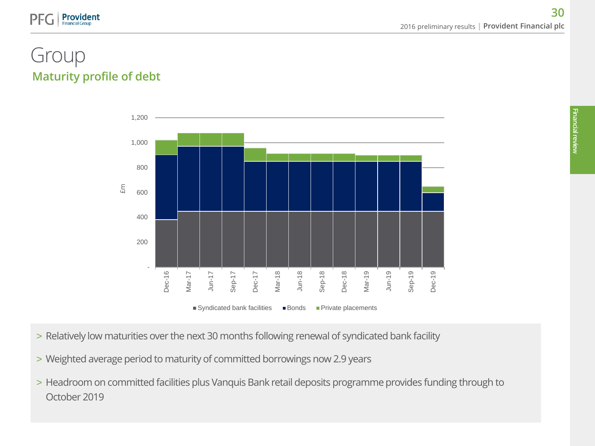## Maturity profile of debt Group

**Provident** 



- > Relatively low maturities over the next 30 months following renewal of syndicated bank facility
- > Weighted average period to maturity of committed borrowings now 2.9 years
- > Headroom on committed facilities plus Vanquis Bank retail deposits programme provides funding through to October 2019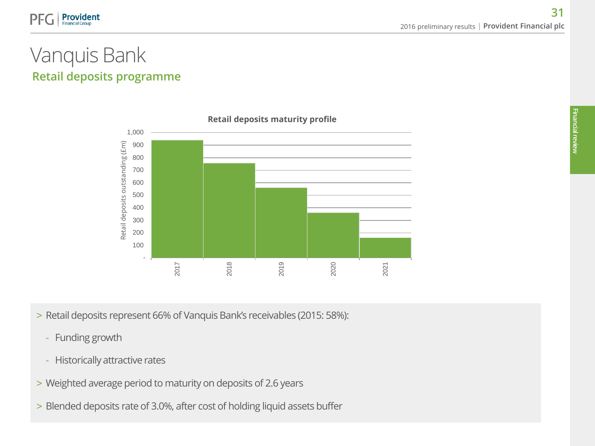

### Retail deposits programme Vanquis Bank



> Retail deposits represent 66% of Vanquis Bank's receivables (2015: 58%):

- Funding growth
- Historically attractive rates
- > Weighted average period to maturity on deposits of 2.6 years
- > Blended deposits rate of 3.0%, after cost of holding liquid assets buffer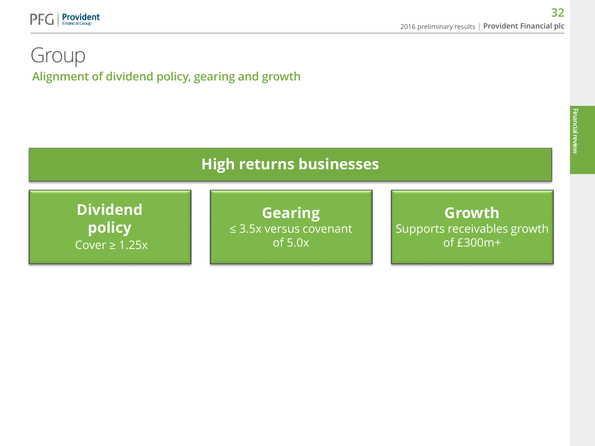

### Alignment of dividend policy, gearing and growth Group

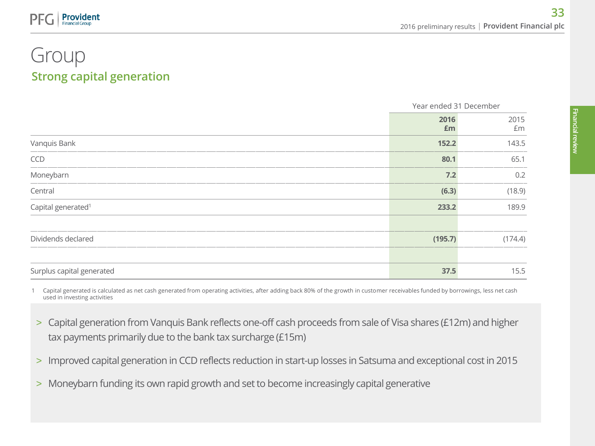### Strong capital generation Group

**Provident Financial Group** 

|                                |            | Year ended 31 December |  |
|--------------------------------|------------|------------------------|--|
|                                | 2016<br>£m | 2015<br>£m             |  |
| Vanquis Bank                   | 152.2      | 143.5                  |  |
| CCD                            | 80.1       | 65.1                   |  |
| Moneybarn                      | $7.2$      | 0.2                    |  |
| Central                        | (6.3)      | (18.9)                 |  |
| Capital generated <sup>1</sup> | 233.2      | 189.9                  |  |
|                                |            |                        |  |
| Dividends declared             | (195.7)    | (174.4)                |  |
|                                |            |                        |  |
| Surplus capital generated      | 37.5       | 15.5                   |  |

1 Capital generated is calculated as net cash generated from operating activities, after adding back 80% of the growth in customer receivables funded by borrowings, less net cash used in investing activities

- > Capital generation from Vanquis Bank reflects one-off cash proceeds from sale of Visa shares (£12m) and higher tax payments primarily due to the bank tax surcharge (£15m)
- > Improved capital generation in CCD reflects reduction in start-up losses in Satsuma and exceptional cost in 2015
- > Moneybarn funding its own rapid growth and set to become increasingly capital generative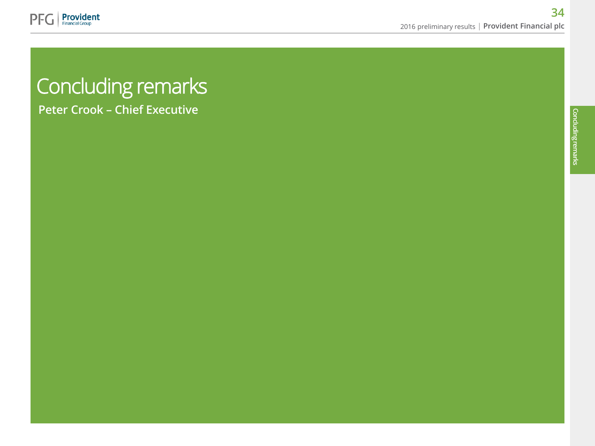

# Concluding remarks

Peter Crook – Chief Executive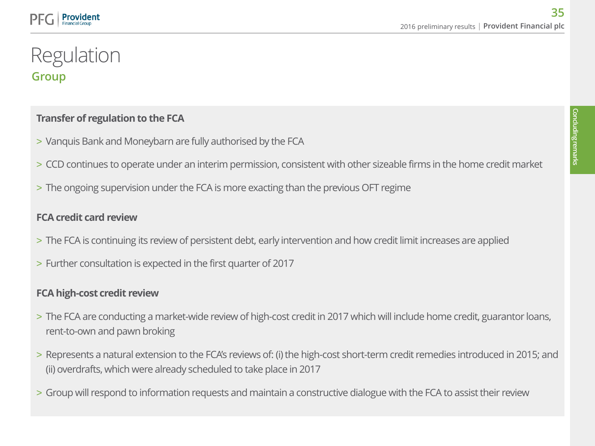### Group Regulation

### **Transfer of regulation to the FCA**

- > Vanquis Bank and Moneybarn are fully authorised by the FCA
- > CCD continues to operate under an interim permission, consistent with other sizeable firms in the home credit market
- > The ongoing supervision under the FCA is more exacting than the previous OFT regime

### **FCA credit card review**

- > The FCA is continuing its review of persistent debt, early intervention and how credit limit increases are applied
- > Further consultation is expected in the first quarter of 2017

### **FCA high-cost credit review**

- > The FCA are conducting a market-wide review of high-cost credit in 2017 which will include home credit, guarantor loans, rent-to-own and pawn broking
- > Represents a natural extension to the FCA's reviews of: (i) the high-cost short-term credit remedies introduced in 2015; and (ii) overdrafts, which were already scheduled to take place in 2017
- > Group will respond to information requests and maintain a constructive dialogue with the FCA to assist their review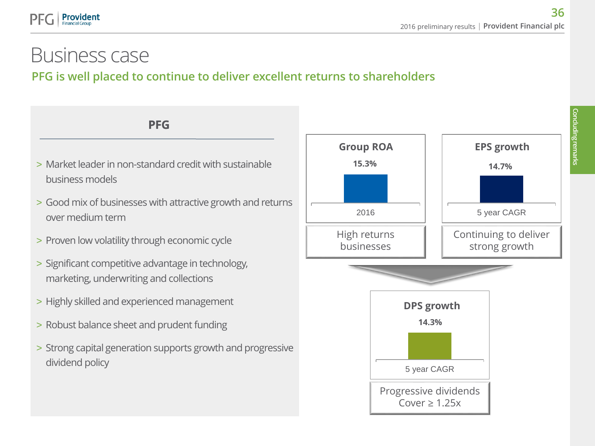# Business case

**Provident Financial Group** 

### PFG is well placed to continue to deliver excellent returns to shareholders

**PFG**

- > Market leader in non-standard credit with sustainable business models
- > Good mix of businesses with attractive growth and returns over medium term
- > Proven low volatility through economic cycle
- > Significant competitive advantage in technology, marketing, underwriting and collections
- > Highly skilled and experienced management
- > Robust balance sheet and prudent funding
- > Strong capital generation supports growth and progressive dividend policy

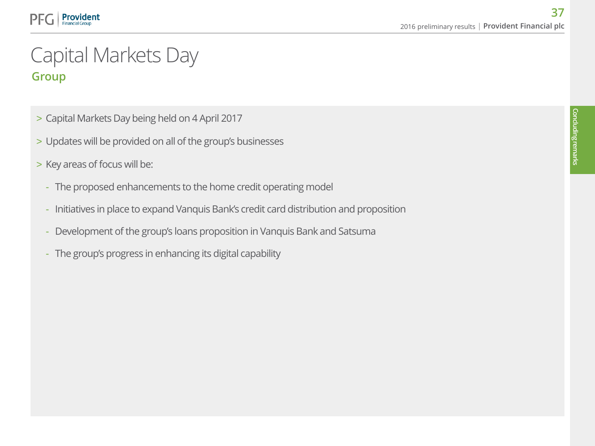# Group Capital Markets Day

- > Capital Markets Day being held on 4 April 2017
- > Updates will be provided on all of the group's businesses
- > Key areas of focus will be:

**Provident** 

- The proposed enhancements to the home credit operating model
- Initiatives in place to expand Vanquis Bank's credit card distribution and proposition
- Development of the group's loans proposition in Vanquis Bank and Satsuma
- The group's progress in enhancing its digital capability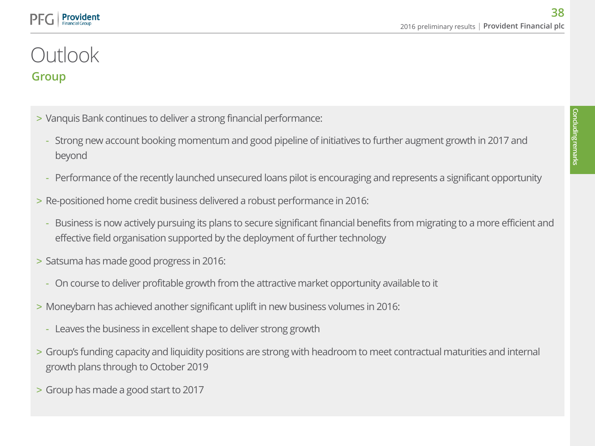# Group **Outlook**

Provident

- > Vanquis Bank continues to deliver a strong financial performance:
	- Strong new account booking momentum and good pipeline of initiatives to further augment growth in 2017 and beyond
	- Performance of the recently launched unsecured loans pilot is encouraging and represents a significant opportunity
- > Re-positioned home credit business delivered a robust performance in 2016:
	- Business is now actively pursuing its plans to secure significant financial benefits from migrating to a more efficient and effective field organisation supported by the deployment of further technology
- > Satsuma has made good progress in 2016:
	- On course to deliver profitable growth from the attractive market opportunity available to it
- > Moneybarn has achieved another significant uplift in new business volumes in 2016:
	- Leaves the business in excellent shape to deliver strong growth
- > Group's funding capacity and liquidity positions are strong with headroom to meet contractual maturities and internal growth plans through to October 2019
- > Group has made a good start to 2017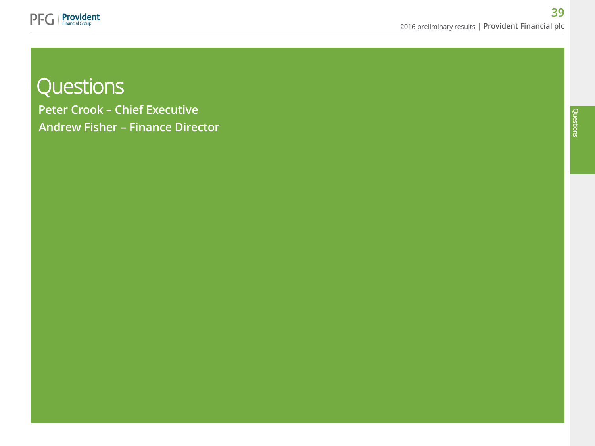

# **Questions**

Peter Crook – Chief Executive Andrew Fisher – Finance Director